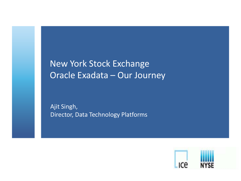New York Stock Exchange Oracle Exadata – Our Journey

Ajit Singh, Director, Data Technology Platforms

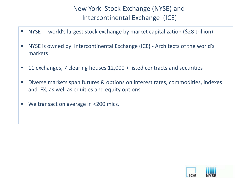# New York Stock Exchange (NYSE) and Intercontinental Exchange (ICE)

- NYSE world's largest stock exchange by market capitalization (\$28 trillion)
- NYSE is owned by Intercontinental Exchange (ICE) Architects of the world's markets
- 11 exchanges, 7 clearing houses 12,000 + listed contracts and securities
- Diverse markets span futures & options on interest rates, commodities, indexes and FX, as well as equities and equity options.
- We transact on average in <200 mics.

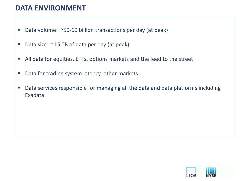# **DATA ENVIRONMENT**

- Data volume: ~50-60 billion transactions per day (at peak)
- Data size:  $\sim$  15 TB of data per day (at peak)
- All data for equities, ETFs, options markets and the feed to the street
- **Data for trading system latency, other markets**
- Data services responsible for managing all the data and data platforms including Exadata

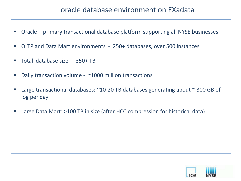# oracle database environment on EXadata

- Oracle primary transactional database platform supporting all NYSE businesses
- OLTP and Data Mart environments 250+ databases, over 500 instances
- Total database size 350+ TB
- Daily transaction volume ~1000 million transactions
- Large transactional databases: ~10-20 TB databases generating about ~ 300 GB of log per day
- Large Data Mart: >100 TB in size (after HCC compression for historical data)

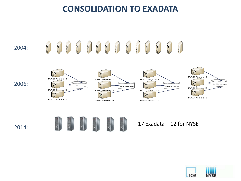# **CONSOLIDATION TO EXADATA**

### 2004:

### 2.3  $\label{eq:1} \begin{array}{c} \mathcal{D} \cdot \mathcal{B} \\ \mathcal{D} \cdot \mathcal{B} \end{array}$  $35 - 8$  $\mathcal{N} \cdot \mathcal{U}$  $\mathcal{D} \cdot \mathcal{D}$  $\label{eq:1} \mathcal{M} \cdot \mathcal{M}$  $\mathcal{N} \cdot \mathcal{N}$  $U \cdot \mathbb{Z}$  $\label{eq:2.1} \mathcal{M} \circ \mathcal{M}$  $\mathcal{N} \cdot \mathcal{U}$  $\mathcal{D} \cdot \mathcal{B}$  $\mathcal{F}$  $\mathcal{J}$  .  $\mathcal{J}$







N°









### 17 Exadata - 12 for NYSE

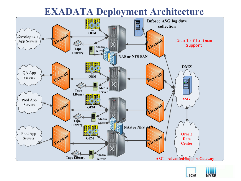# **EXADATA Deployment Architecture**



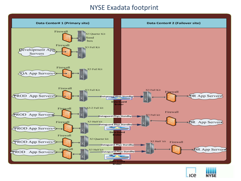### NYSE Exadata footprint



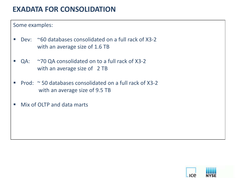# **EXADATA FOR CONSOLIDATION**

Some examples:

- Dev: ~60 databases consolidated on a full rack of X3-2 with an average size of 1.6 TB
- QA: ~70 QA consolidated on to a full rack of X3-2 with an average size of 2 TB
- Prod:  $\approx$  50 databases consolidated on a full rack of X3-2 with an average size of 9.5 TB
- Mix of OLTP and data marts

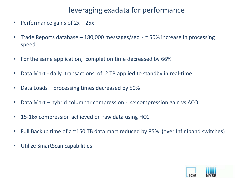# leveraging exadata for performance

- Performance gains of  $2x 25x$
- Trade Reports database  $-$  180,000 messages/sec  $-$  ~ 50% increase in processing speed
- **For the same application, completion time decreased by 66%**
- Data Mart daily transactions of 2 TB applied to standby in real-time
- Data Loads processing times decreased by 50%
- Data Mart hybrid columnar compression 4x compression gain vs ACO.
- 15-16x compression achieved on raw data using HCC
- Full Backup time of a ~150 TB data mart reduced by 85% (over Infiniband switches)
- **Utilize SmartScan capabilities**

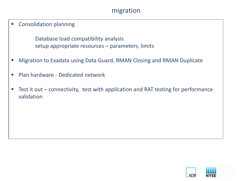### migration

**EXECONSOLIDATION PLANNING** 

Database load compatibility analysis setup appropriate resources – parameters, limits

- Migration to Exadata using Data Guard, RMAN Closing and RMAN Duplicate
- **Plan hardware Dedicated network**
- Test it out connectivity, test with application and RAT testing for performance validation

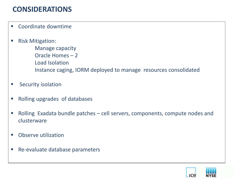# **CONSIDERATIONS**

- **EXECOORDINATE COORDINATE**
- Risk Mitigation:
	- Manage capacity
	- Oracle Homes 2
	- Load Isolation
	- Instance caging, IORM deployed to manage resources consolidated
- **Security isolation**
- **Rolling upgrades of databases**
- Rolling Exadata bundle patches cell servers, components, compute nodes and clusterware
- **Observe utilization**
- Re-evaluate database parameters